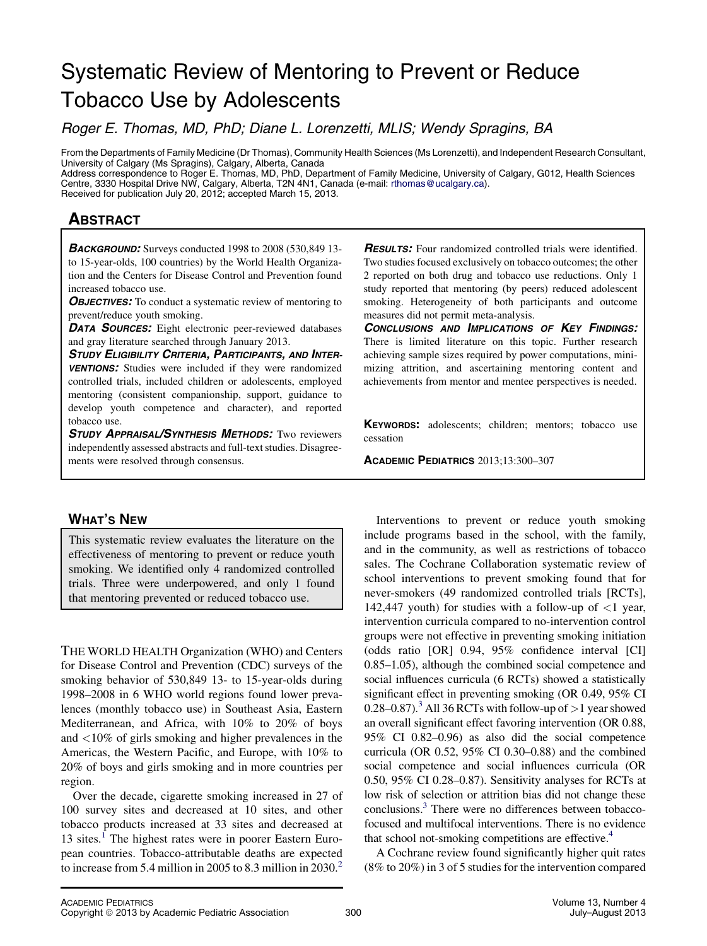# Systematic Review of Mentoring to Prevent or Reduce Tobacco Use by Adolescents

Roger E. Thomas, MD, PhD; Diane L. Lorenzetti, MLIS; Wendy Spragins, BA

From the Departments of Family Medicine (Dr Thomas), Community Health Sciences (Ms Lorenzetti), and Independent Research Consultant, University of Calgary (Ms Spragins), Calgary, Alberta, Canada

Address correspondence to Roger E. Thomas, MD, PhD, Department of Family Medicine, University of Calgary, G012, Health Sciences Centre, 3330 Hospital Drive NW, Calgary, Alberta, T2N 4N1, Canada (e-mail: [rthomas@ucalgary.ca\)](mailto:rthomas@ucalgary.ca). Received for publication July 20, 2012; accepted March 15, 2013.

## **ABSTRACT** <u>ABSOLUTE:</u>

BACKGROUND: Surveys conducted 1998 to 2008 (530,849 13to 15-year-olds, 100 countries) by the World Health Organization and the Centers for Disease Control and Prevention found increased tobacco use.

**OBJECTIVES:** To conduct a systematic review of mentoring to prevent/reduce youth smoking.

DATA SOURCES: Eight electronic peer-reviewed databases and gray literature searched through January 2013.

STUDY ELIGIBILITY CRITERIA, PARTICIPANTS, AND INTER-VENTIONS: Studies were included if they were randomized controlled trials, included children or adolescents, employed mentoring (consistent companionship, support, guidance to develop youth competence and character), and reported tobacco use.

**STUDY APPRAISAL/SYNTHESIS METHODS:** Two reviewers independently assessed abstracts and full-text studies. Disagreements were resolved through consensus.

This systematic review evaluates the literature on the effectiveness of mentoring to prevent or reduce youth smoking. We identified only 4 randomized controlled trials. Three were underpowered, and only 1 found that mentoring prevented or reduced tobacco use.

THE WORLD HEALTH Organization (WHO) and Centers for Disease Control and Prevention (CDC) surveys of the smoking behavior of 530,849 13- to 15-year-olds during 1998–2008 in 6 WHO world regions found lower prevalences (monthly tobacco use) in Southeast Asia, Eastern Mediterranean, and Africa, with 10% to 20% of boys and <10% of girls smoking and higher prevalences in the Americas, the Western Pacific, and Europe, with 10% to 20% of boys and girls smoking and in more countries per region.

Over the decade, cigarette smoking increased in 27 of 100 survey sites and decreased at 10 sites, and other tobacco products increased at 33 sites and decreased at [1](#page-7-0)3 sites. $<sup>1</sup>$  The highest rates were in poorer Eastern Euro-</sup> pean countries. Tobacco-attributable deaths are expected to increase from 5.4 million in [2](#page-7-0)005 to 8.3 million in 2030.<sup>2</sup> RESULTS: Four randomized controlled trials were identified. Two studies focused exclusively on tobacco outcomes; the other 2 reported on both drug and tobacco use reductions. Only 1 study reported that mentoring (by peers) reduced adolescent smoking. Heterogeneity of both participants and outcome measures did not permit meta-analysis.

CONCLUSIONS AND IMPLICATIONS OF KEY FINDINGS: There is limited literature on this topic. Further research achieving sample sizes required by power computations, minimizing attrition, and ascertaining mentoring content and achievements from mentor and mentee perspectives is needed.

KEYWORDS: adolescents; children; mentors; tobacco use cessation

ACADEMIC PEDIATRICS 2013;13:300–307

Interventions to prevent or reduce youth smoking include programs based in the school, with the family, and in the community, as well as restrictions of tobacco sales. The Cochrane Collaboration systematic review of school interventions to prevent smoking found that for never-smokers (49 randomized controlled trials [RCTs], 142,447 youth) for studies with a follow-up of  $\langle 1 \rangle$  year, intervention curricula compared to no-intervention control groups were not effective in preventing smoking initiation (odds ratio [OR] 0.94, 95% confidence interval [CI] 0.85–1.05), although the combined social competence and social influences curricula (6 RCTs) showed a statistically significant effect in preventing smoking (OR 0.49, 95% CI 0.28–0.87).<sup>3</sup> All 36 RCTs with follow-up of  $>1$  year showed an overall significant effect favoring intervention (OR 0.88, 95% CI 0.82–0.96) as also did the social competence curricula (OR 0.52, 95% CI 0.30–0.88) and the combined social competence and social influences curricula (OR 0.50, 95% CI 0.28–0.87). Sensitivity analyses for RCTs at low risk of selection or attrition bias did not change these conclusions.<sup>3</sup> There were no differences between tobaccofocused and multifocal interventions. There is no evidence that school not-smoking competitions are effective.<sup>[4](#page-7-0)</sup>

A Cochrane review found significantly higher quit rates (8% to 20%) in 3 of 5 studies for the intervention compared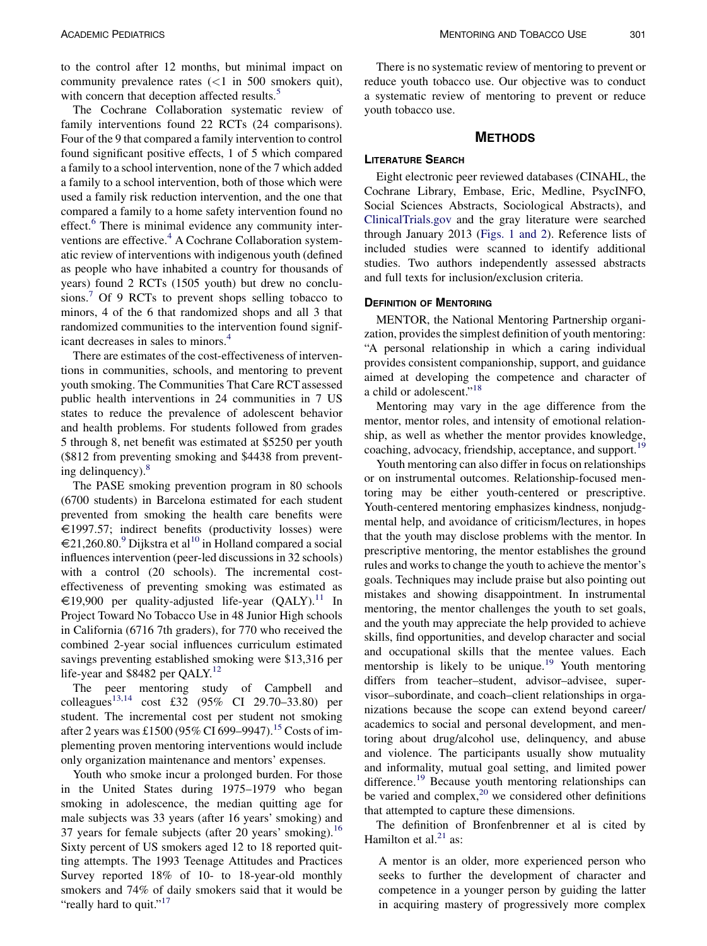The Cochrane Collaboration systematic review of family interventions found 22 RCTs (24 comparisons). Four of the 9 that compared a family intervention to control found significant positive effects, 1 of 5 which compared a family to a school intervention, none of the 7 which added a family to a school intervention, both of those which were used a family risk reduction intervention, and the one that compared a family to a home safety intervention found no effect.<sup>[6](#page-7-0)</sup> There is minimal evidence any community inter-ventions are effective.<sup>[4](#page-7-0)</sup> A Cochrane Collaboration systematic review of interventions with indigenous youth (defined as people who have inhabited a country for thousands of years) found 2 RCTs (1505 youth) but drew no conclu-sions.<sup>[7](#page-7-0)</sup> Of 9 RCTs to prevent shops selling tobacco to minors, 4 of the 6 that randomized shops and all 3 that randomized communities to the intervention found signif-icant decreases in sales to minors.<sup>[4](#page-7-0)</sup>

There are estimates of the cost-effectiveness of interventions in communities, schools, and mentoring to prevent youth smoking. The Communities That Care RCT assessed public health interventions in 24 communities in 7 US states to reduce the prevalence of adolescent behavior and health problems. For students followed from grades 5 through 8, net benefit was estimated at \$5250 per youth (\$812 from preventing smoking and \$4438 from preventing delinquency). $8$ 

The PASE smoking prevention program in 80 schools (6700 students) in Barcelona estimated for each student prevented from smoking the health care benefits were  $\epsilon$ 1997.57; indirect benefits (productivity losses) were  $\epsilon$ 21,260.80.<sup>[9](#page-7-0)</sup> Dijkstra et al<sup>[10](#page-7-0)</sup> in Holland compared a social influences intervention (peer-led discussions in 32 schools) with a control (20 schools). The incremental costeffectiveness of preventing smoking was estimated as €19,900 per quality-adjusted life-year  $(QALY)$ .<sup>[11](#page-7-0)</sup> In Project Toward No Tobacco Use in 48 Junior High schools in California (6716 7th graders), for 770 who received the combined 2-year social influences curriculum estimated savings preventing established smoking were \$13,316 per life-year and \$8482 per QALY.<sup>[12](#page-7-0)</sup>

The peer mentoring study of Campbell and colleagues[13,14](#page-7-0) cost £32 (95% CI 29.70–33.80) per student. The incremental cost per student not smoking after 2 years was £1500 (95% CI 699–9947).<sup>15</sup> Costs of implementing proven mentoring interventions would include only organization maintenance and mentors' expenses.

Youth who smoke incur a prolonged burden. For those in the United States during 1975–1979 who began smoking in adolescence, the median quitting age for male subjects was 33 years (after 16 years' smoking) and 37 years for female subjects (after 20 years' smoking).<sup>[16](#page-7-0)</sup> Sixty percent of US smokers aged 12 to 18 reported quitting attempts. The 1993 Teenage Attitudes and Practices Survey reported 18% of 10- to 18-year-old monthly smokers and 74% of daily smokers said that it would be "really hard to quit."<sup>[17](#page-7-0)</sup>

There is no systematic review of mentoring to prevent or reduce youth tobacco use. Our objective was to conduct a systematic review of mentoring to prevent or reduce youth tobacco use.

## METHODS

LITERATURE SEARCH Eight electronic peer reviewed databases (CINAHL, the Cochrane Library, Embase, Eric, Medline, PsycINFO, Social Sciences Abstracts, Sociological Abstracts), and [ClinicalTrials.gov](http://ClinicalTrials.gov) and the gray literature were searched through January 2013 ([Figs. 1 and 2\)](#page-2-0). Reference lists of included studies were scanned to identify additional studies. Two authors independently assessed abstracts and full texts for inclusion/exclusion criteria.

MENTOR, the National Mentoring Partnership organization, provides the simplest definition of youth mentoring: "A personal relationship in which a caring individual provides consistent companionship, support, and guidance aimed at developing the competence and character of a child or adolescent."<sup>[18](#page-7-0)</sup>

Mentoring may vary in the age difference from the mentor, mentor roles, and intensity of emotional relationship, as well as whether the mentor provides knowledge, coaching, advocacy, friendship, acceptance, and support.<sup>[19](#page-7-0)</sup>

Youth mentoring can also differ in focus on relationships or on instrumental outcomes. Relationship-focused mentoring may be either youth-centered or prescriptive. Youth-centered mentoring emphasizes kindness, nonjudgmental help, and avoidance of criticism/lectures, in hopes that the youth may disclose problems with the mentor. In prescriptive mentoring, the mentor establishes the ground rules and works to change the youth to achieve the mentor's goals. Techniques may include praise but also pointing out mistakes and showing disappointment. In instrumental mentoring, the mentor challenges the youth to set goals, and the youth may appreciate the help provided to achieve skills, find opportunities, and develop character and social and occupational skills that the mentee values. Each mentorship is likely to be unique.<sup>[19](#page-7-0)</sup> Youth mentoring differs from teacher–student, advisor–advisee, supervisor–subordinate, and coach–client relationships in organizations because the scope can extend beyond career/ academics to social and personal development, and mentoring about drug/alcohol use, delinquency, and abuse and violence. The participants usually show mutuality and informality, mutual goal setting, and limited power difference.<sup>19</sup> Because youth mentoring relationships can be varied and complex,<sup>[20](#page-7-0)</sup> we considered other definitions that attempted to capture these dimensions.

The definition of Bronfenbrenner et al is cited by Hamilton et al. $^{21}$  $^{21}$  $^{21}$  as:

A mentor is an older, more experienced person who seeks to further the development of character and competence in a younger person by guiding the latter in acquiring mastery of progressively more complex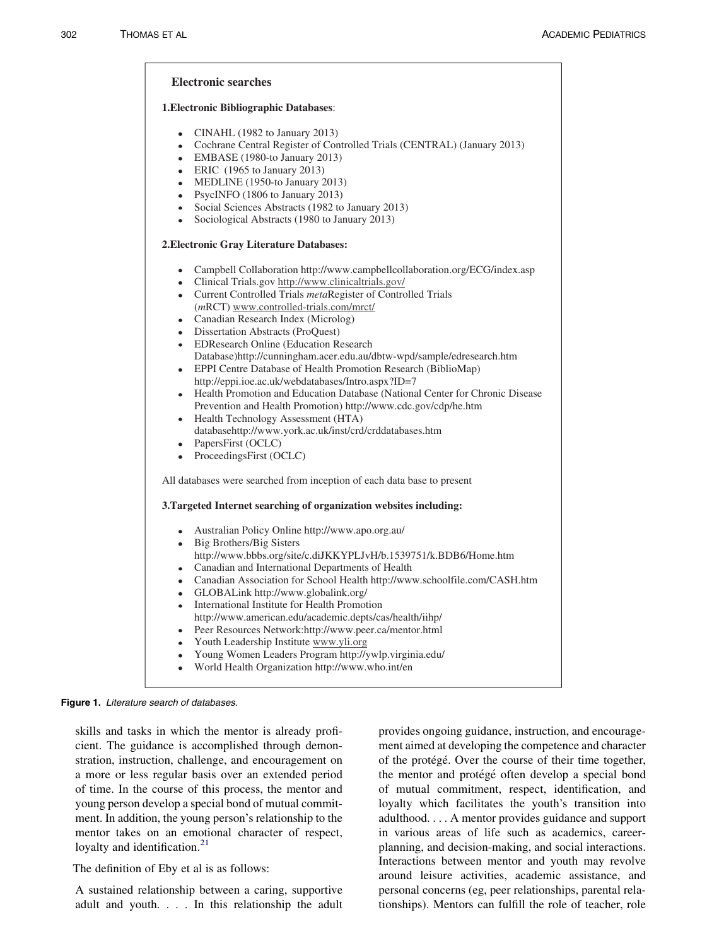<span id="page-2-0"></span>**Electronic searches 1.Electronic Bibliographic Databases**: CINAHL (1982 to January 2013) Cochrane Central Register of Controlled Trials (CENTRAL) (January 2013) EMBASE (1980-to January 2013) ERIC (1965 to January 2013) MEDLINE (1950-to January 2013) PsycINFO (1806 to January 2013) Social Sciences Abstracts (1982 to January 2013) Sociological Abstracts (1980 to January 2013) **2.Electronic Gray Literature Databases:** Campbell Collaboration http://www.campbellcollaboration.org/ECG/index.asp Clinical Trials.gov http://www.clinicaltrials.gov/ Current Controlled Trials *meta*Register of Controlled Trials (*m*RCT) www.controlled-trials.com/mrct/ Canadian Research Index (Microlog) Dissertation Abstracts (ProQuest) EDResearch Online (Education Research Database)http://cunningham.acer.edu.au/dbtw-wpd/sample/edresearch.htm EPPI Centre Database of Health Promotion Research (BiblioMap) http://eppi.ioe.ac.uk/webdatabases/Intro.aspx?ID=7 Health Promotion and Education Database (National Center for Chronic Disease Prevention and Health Promotion) http://www.cdc.gov/cdp/he.htm Health Technology Assessment (HTA) databasehttp://www.york.ac.uk/inst/crd/crddatabases.htm PapersFirst (OCLC) ProceedingsFirst (OCLC) All databases were searched from inception of each data base to present **3.Targeted Internet searching of organization websites including:** Australian Policy Online http://www.apo.org.au/ Big Brothers/Big Sisters http://www.bbbs.org/site/c.diJKKYPLJvH/b.1539751/k.BDB6/Home.htm Canadian and International Departments of Health Canadian Association for School Health http://www.schoolfile.com/CASH.htm GLOBALink http://www.globalink.org/ International Institute for Health Promotion http://www.american.edu/academic.depts/cas/health/iihp/ Peer Resources Network:http://www.peer.ca/mentor.html Youth Leadership Institute www.yli.org Young Women Leaders Program http://ywlp.virginia.edu/ World Health Organization http://www.who.int/en

### Figure 1. Literature search of databases.

skills and tasks in which the mentor is already proficient. The guidance is accomplished through demonstration, instruction, challenge, and encouragement on a more or less regular basis over an extended period of time. In the course of this process, the mentor and young person develop a special bond of mutual commitment. In addition, the young person's relationship to the mentor takes on an emotional character of respect, loyalty and identification.<sup>[21](#page-7-0)</sup>

The definition of Eby et al is as follows:

A sustained relationship between a caring, supportive adult and youth. . . . In this relationship the adult provides ongoing guidance, instruction, and encouragement aimed at developing the competence and character of the protégé. Over the course of their time together, the mentor and protégé often develop a special bond of mutual commitment, respect, identification, and loyalty which facilitates the youth's transition into adulthood. . . . A mentor provides guidance and support in various areas of life such as academics, careerplanning, and decision-making, and social interactions. Interactions between mentor and youth may revolve around leisure activities, academic assistance, and personal concerns (eg, peer relationships, parental relationships). Mentors can fulfill the role of teacher, role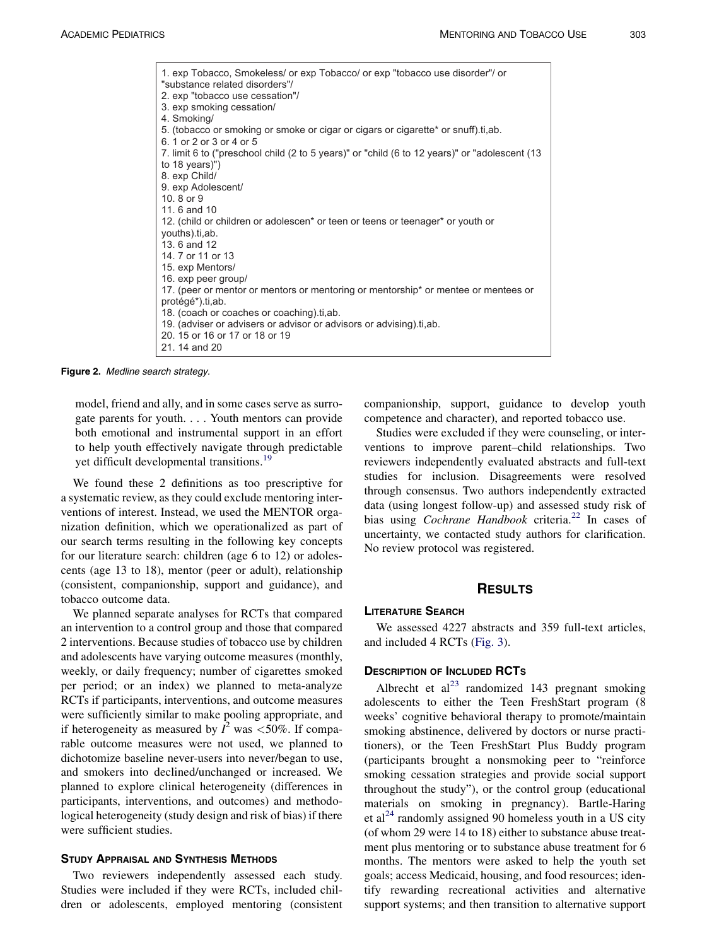| 3. exp smoking cessation/<br>4. Smoking/<br>5. (tobacco or smoking or smoke or cigar or cigars or cigarette* or snuff).ti,ab.<br>6.1 or 2 or 3 or 4 or 5<br>7. limit 6 to ("preschool child (2 to 5 years)" or "child (6 to 12 years)" or "adolescent (13<br>to $18$ years)")<br>8. exp Child/<br>9. exp Adolescent/<br>10. $8 \text{ or } 9$<br>11. 6 and 10<br>12. (child or children or adolescen* or teen or teens or teenager* or youth or<br>youths).ti,ab.<br>13, 6 and 12<br>14. 7 or 11 or 13<br>15. exp Mentors/<br>16. exp peer group/<br>17. (peer or mentor or mentors or mentoring or mentorship* or mentee or mentees or<br>protégé*).ti,ab.<br>18. (coach or coaches or coaching).ti,ab.<br>19. (adviser or advisers or advisor or advisors or advising) ti, ab.<br>20. 15 or 16 or 17 or 18 or 19<br>21, 14 and 20 | 1. exp Tobacco, Smokeless/ or exp Tobacco/ or exp "tobacco use disorder"/ or<br>"substance related disorders"/ |
|-------------------------------------------------------------------------------------------------------------------------------------------------------------------------------------------------------------------------------------------------------------------------------------------------------------------------------------------------------------------------------------------------------------------------------------------------------------------------------------------------------------------------------------------------------------------------------------------------------------------------------------------------------------------------------------------------------------------------------------------------------------------------------------------------------------------------------------|----------------------------------------------------------------------------------------------------------------|
|                                                                                                                                                                                                                                                                                                                                                                                                                                                                                                                                                                                                                                                                                                                                                                                                                                     | 2. exp "tobacco use cessation"/                                                                                |
|                                                                                                                                                                                                                                                                                                                                                                                                                                                                                                                                                                                                                                                                                                                                                                                                                                     |                                                                                                                |
|                                                                                                                                                                                                                                                                                                                                                                                                                                                                                                                                                                                                                                                                                                                                                                                                                                     |                                                                                                                |
|                                                                                                                                                                                                                                                                                                                                                                                                                                                                                                                                                                                                                                                                                                                                                                                                                                     |                                                                                                                |
|                                                                                                                                                                                                                                                                                                                                                                                                                                                                                                                                                                                                                                                                                                                                                                                                                                     |                                                                                                                |
|                                                                                                                                                                                                                                                                                                                                                                                                                                                                                                                                                                                                                                                                                                                                                                                                                                     |                                                                                                                |
|                                                                                                                                                                                                                                                                                                                                                                                                                                                                                                                                                                                                                                                                                                                                                                                                                                     |                                                                                                                |
|                                                                                                                                                                                                                                                                                                                                                                                                                                                                                                                                                                                                                                                                                                                                                                                                                                     |                                                                                                                |
|                                                                                                                                                                                                                                                                                                                                                                                                                                                                                                                                                                                                                                                                                                                                                                                                                                     |                                                                                                                |
|                                                                                                                                                                                                                                                                                                                                                                                                                                                                                                                                                                                                                                                                                                                                                                                                                                     |                                                                                                                |
|                                                                                                                                                                                                                                                                                                                                                                                                                                                                                                                                                                                                                                                                                                                                                                                                                                     |                                                                                                                |
|                                                                                                                                                                                                                                                                                                                                                                                                                                                                                                                                                                                                                                                                                                                                                                                                                                     |                                                                                                                |
|                                                                                                                                                                                                                                                                                                                                                                                                                                                                                                                                                                                                                                                                                                                                                                                                                                     |                                                                                                                |
|                                                                                                                                                                                                                                                                                                                                                                                                                                                                                                                                                                                                                                                                                                                                                                                                                                     |                                                                                                                |
|                                                                                                                                                                                                                                                                                                                                                                                                                                                                                                                                                                                                                                                                                                                                                                                                                                     |                                                                                                                |
|                                                                                                                                                                                                                                                                                                                                                                                                                                                                                                                                                                                                                                                                                                                                                                                                                                     |                                                                                                                |
|                                                                                                                                                                                                                                                                                                                                                                                                                                                                                                                                                                                                                                                                                                                                                                                                                                     |                                                                                                                |
|                                                                                                                                                                                                                                                                                                                                                                                                                                                                                                                                                                                                                                                                                                                                                                                                                                     |                                                                                                                |
|                                                                                                                                                                                                                                                                                                                                                                                                                                                                                                                                                                                                                                                                                                                                                                                                                                     |                                                                                                                |
|                                                                                                                                                                                                                                                                                                                                                                                                                                                                                                                                                                                                                                                                                                                                                                                                                                     |                                                                                                                |
|                                                                                                                                                                                                                                                                                                                                                                                                                                                                                                                                                                                                                                                                                                                                                                                                                                     |                                                                                                                |
|                                                                                                                                                                                                                                                                                                                                                                                                                                                                                                                                                                                                                                                                                                                                                                                                                                     |                                                                                                                |
|                                                                                                                                                                                                                                                                                                                                                                                                                                                                                                                                                                                                                                                                                                                                                                                                                                     |                                                                                                                |

Figure 2. Medline search strategy.

model, friend and ally, and in some cases serve as surrogate parents for youth. ...Youth mentors can provide both emotional and instrumental support in an effort to help youth effectively navigate through predictable yet difficult developmental transitions.<sup>[19](#page-7-0)</sup>

We found these 2 definitions as too prescriptive for a systematic review, as they could exclude mentoring interventions of interest. Instead, we used the MENTOR organization definition, which we operationalized as part of our search terms resulting in the following key concepts for our literature search: children (age 6 to 12) or adolescents (age 13 to 18), mentor (peer or adult), relationship (consistent, companionship, support and guidance), and tobacco outcome data.

We planned separate analyses for RCTs that compared an intervention to a control group and those that compared 2 interventions. Because studies of tobacco use by children and adolescents have varying outcome measures (monthly, weekly, or daily frequency; number of cigarettes smoked per period; or an index) we planned to meta-analyze RCTs if participants, interventions, and outcome measures were sufficiently similar to make pooling appropriate, and if heterogeneity as measured by  $\hat{I}^2$  was <50%. If comparable outcome measures were not used, we planned to dichotomize baseline never-users into never/began to use, and smokers into declined/unchanged or increased. We planned to explore clinical heterogeneity (differences in participants, interventions, and outcomes) and methodological heterogeneity (study design and risk of bias) if there were sufficient studies.

### **STUDY APPRAISAL AND SYNTHESIS METHODS**

Two reviewers independently assessed each study. Studies were included if they were RCTs, included children or adolescents, employed mentoring (consistent companionship, support, guidance to develop youth competence and character), and reported tobacco use.

Studies were excluded if they were counseling, or interventions to improve parent–child relationships. Two reviewers independently evaluated abstracts and full-text studies for inclusion. Disagreements were resolved through consensus. Two authors independently extracted data (using longest follow-up) and assessed study risk of bias using *Cochrane Handbook* criteria.<sup>[22](#page-7-0)</sup> In cases of uncertainty, we contacted study authors for clarification. No review protocol was registered.

### **RESULTS** RESULTS

We assessed 4227 abstracts and 359 full-text articles, and included 4 RCTs [\(Fig. 3\)](#page-4-0).

### **DESCRIPTION OF INCLUDED RCTS**

Albrecht et al<sup>23</sup> randomized 143 pregnant smoking adolescents to either the Teen FreshStart program (8 weeks' cognitive behavioral therapy to promote/maintain smoking abstinence, delivered by doctors or nurse practitioners), or the Teen FreshStart Plus Buddy program (participants brought a nonsmoking peer to "reinforce smoking cessation strategies and provide social support throughout the study"), or the control group (educational materials on smoking in pregnancy). Bartle-Haring et al<sup>[24](#page-7-0)</sup> randomly assigned 90 homeless youth in a US city (of whom 29 were 14 to 18) either to substance abuse treatment plus mentoring or to substance abuse treatment for 6 months. The mentors were asked to help the youth set goals; access Medicaid, housing, and food resources; identify rewarding recreational activities and alternative support systems; and then transition to alternative support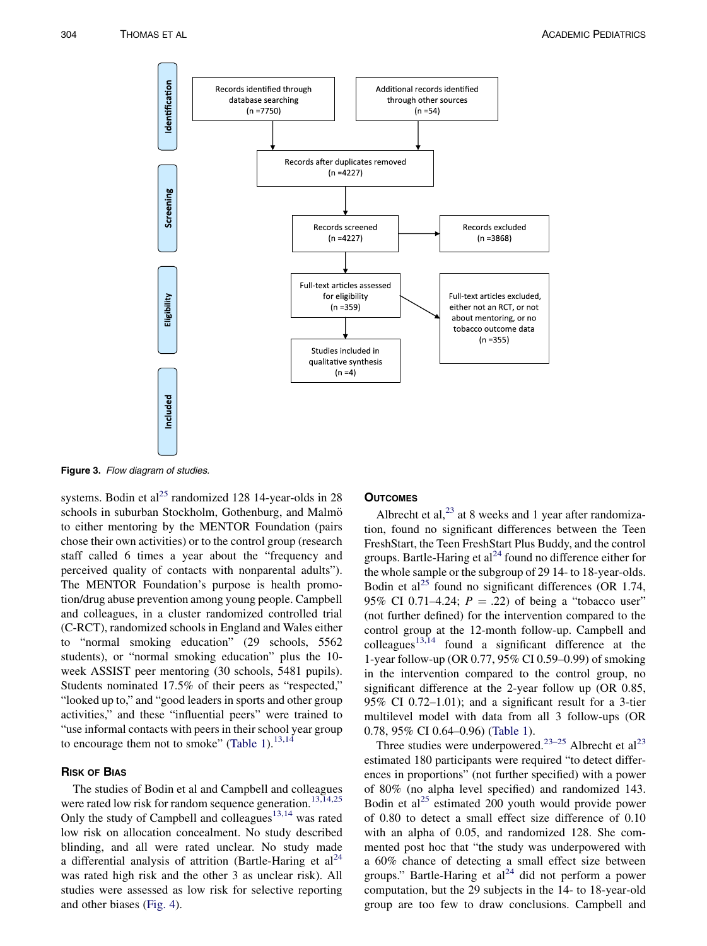<span id="page-4-0"></span>

Figure 3. Flow diagram of studies.

systems. Bodin et al<sup>[25](#page-7-0)</sup> randomized 128 14-year-olds in 28 schools in suburban Stockholm, Gothenburg, and Malmö to either mentoring by the MENTOR Foundation (pairs chose their own activities) or to the control group (research staff called 6 times a year about the "frequency and perceived quality of contacts with nonparental adults"). The MENTOR Foundation's purpose is health promotion/drug abuse prevention among young people. Campbell and colleagues, in a cluster randomized controlled trial (C-RCT), randomized schools in England and Wales either to "normal smoking education" (29 schools, 5562 students), or "normal smoking education" plus the 10 week ASSIST peer mentoring (30 schools, 5481 pupils). Students nominated 17.5% of their peers as "respected," "looked up to," and "good leaders in sports and other group activities," and these "influential peers" were trained to "use informal contacts with peers in their school year group to encourage them not to smoke" ([Table 1\)](#page-5-0). $^{13,14}$  $^{13,14}$  $^{13,14}$ 

The studies of Bodin et al and Campbell and colleagues were rated low risk for random sequence generation.<sup>[13,14,25](#page-7-0)</sup> Only the study of Campbell and colleagues $13,14$  was rated low risk on allocation concealment. No study described blinding, and all were rated unclear. No study made a differential analysis of attrition (Bartle-Haring et  $al<sup>24</sup>$  $al<sup>24</sup>$  $al<sup>24</sup>$ was rated high risk and the other 3 as unclear risk). All studies were assessed as low risk for selective reporting and other biases ([Fig. 4](#page-6-0)).

Albrecht et al, $^{23}$  $^{23}$  $^{23}$  at 8 weeks and 1 year after randomization, found no significant differences between the Teen FreshStart, the Teen FreshStart Plus Buddy, and the control groups. Bartle-Haring et  $al^{24}$  $al^{24}$  $al^{24}$  found no difference either for the whole sample or the subgroup of 29 14- to 18-year-olds. Bodin et al<sup>[25](#page-7-0)</sup> found no significant differences (OR 1.74, 95% CI 0.71–4.24;  $P = .22$ ) of being a "tobacco user" (not further defined) for the intervention compared to the control group at the 12-month follow-up. Campbell and colleagues<sup>[13,14](#page-7-0)</sup> found a significant difference at the 1-year follow-up (OR 0.77, 95% CI 0.59–0.99) of smoking in the intervention compared to the control group, no significant difference at the 2-year follow up (OR 0.85, 95% CI 0.72–1.01); and a significant result for a 3-tier multilevel model with data from all 3 follow-ups (OR 0.78, 95% CI 0.64–0.96) [\(Table 1](#page-5-0)).

Three studies were underpowered.<sup>[23](#page-7-0)-25</sup> Albrecht et al<sup>23</sup> estimated 180 participants were required "to detect differences in proportions" (not further specified) with a power of 80% (no alpha level specified) and randomized 143. Bodin et al<sup>[25](#page-7-0)</sup> estimated 200 youth would provide power of 0.80 to detect a small effect size difference of 0.10 with an alpha of 0.05, and randomized 128. She commented post hoc that "the study was underpowered with a 60% chance of detecting a small effect size between groups." Bartle-Haring et  $al^{24}$  $al^{24}$  $al^{24}$  did not perform a power computation, but the 29 subjects in the 14- to 18-year-old group are too few to draw conclusions. Campbell and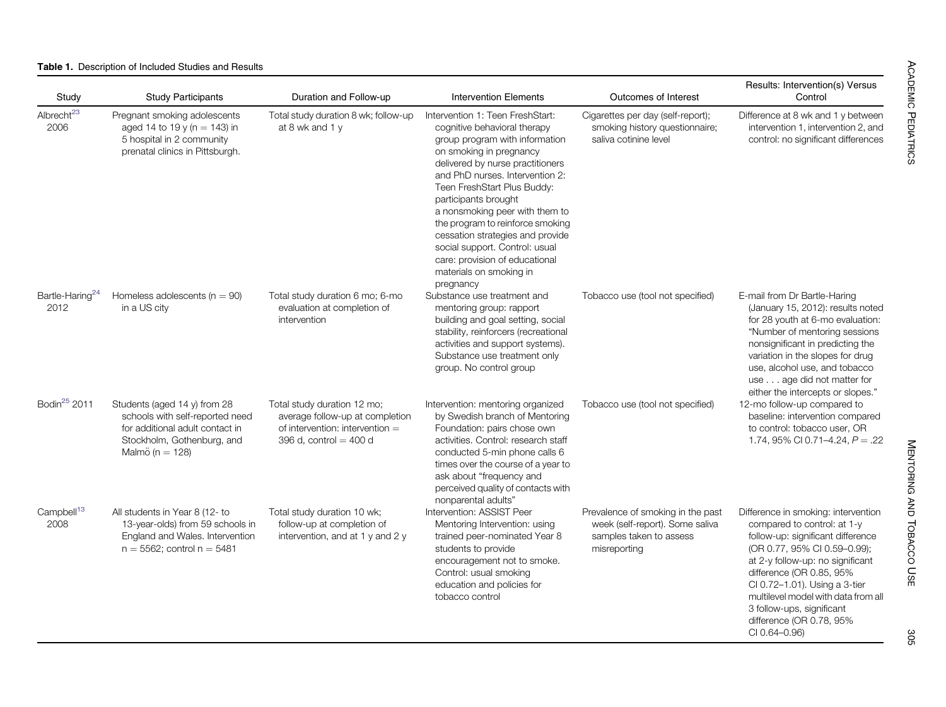<span id="page-5-0"></span>

| Study                               | <b>Study Participants</b>                                                                                                                           | Duration and Follow-up                                                                                                        | <b>Intervention Elements</b>                                                                                                                                                                                                                                                                                                                                                                                                                                                      | Outcomes of Interest                                                                                            | Results: Intervention(s) Versus<br>Control                                                                                                                                                                                                                                                                                                                |
|-------------------------------------|-----------------------------------------------------------------------------------------------------------------------------------------------------|-------------------------------------------------------------------------------------------------------------------------------|-----------------------------------------------------------------------------------------------------------------------------------------------------------------------------------------------------------------------------------------------------------------------------------------------------------------------------------------------------------------------------------------------------------------------------------------------------------------------------------|-----------------------------------------------------------------------------------------------------------------|-----------------------------------------------------------------------------------------------------------------------------------------------------------------------------------------------------------------------------------------------------------------------------------------------------------------------------------------------------------|
| Albrecht <sup>23</sup><br>2006      | Pregnant smoking adolescents<br>aged 14 to 19 y (n = 143) in<br>5 hospital in 2 community<br>prenatal clinics in Pittsburgh.                        | Total study duration 8 wk; follow-up<br>at 8 wk and 1 $v$                                                                     | Intervention 1: Teen FreshStart:<br>cognitive behavioral therapy<br>group program with information<br>on smoking in pregnancy<br>delivered by nurse practitioners<br>and PhD nurses. Intervention 2:<br>Teen FreshStart Plus Buddy:<br>participants brought<br>a nonsmoking peer with them to<br>the program to reinforce smoking<br>cessation strategies and provide<br>social support. Control: usual<br>care: provision of educational<br>materials on smoking in<br>pregnancy | Cigarettes per day (self-report);<br>smoking history questionnaire;<br>saliva cotinine level                    | Difference at 8 wk and 1 y between<br>intervention 1, intervention 2, and<br>control: no significant differences                                                                                                                                                                                                                                          |
| Bartle-Haring <sup>24</sup><br>2012 | Homeless adolescents ( $n = 90$ )<br>in a US city                                                                                                   | Total study duration 6 mo; 6-mo<br>evaluation at completion of<br>intervention                                                | Substance use treatment and<br>mentoring group: rapport<br>building and goal setting, social<br>stability, reinforcers (recreational<br>activities and support systems).<br>Substance use treatment only<br>group. No control group                                                                                                                                                                                                                                               | Tobacco use (tool not specified)                                                                                | E-mail from Dr Bartle-Haring<br>(January 15, 2012): results noted<br>for 28 youth at 6-mo evaluation:<br>"Number of mentoring sessions<br>nonsignificant in predicting the<br>variation in the slopes for drug<br>use, alcohol use, and tobacco<br>use age did not matter for<br>either the intercepts or slopes."                                        |
| Bodin <sup>25</sup> 2011            | Students (aged 14 y) from 28<br>schools with self-reported need<br>for additional adult contact in<br>Stockholm, Gothenburg, and<br>Malmö (n = 128) | Total study duration 12 mo;<br>average follow-up at completion<br>of intervention: intervention =<br>396 d, control $=$ 400 d | Intervention: mentoring organized<br>by Swedish branch of Mentoring<br>Foundation: pairs chose own<br>activities. Control: research staff<br>conducted 5-min phone calls 6<br>times over the course of a year to<br>ask about "frequency and<br>perceived quality of contacts with<br>nonparental adults"                                                                                                                                                                         | Tobacco use (tool not specified)                                                                                | 12-mo follow-up compared to<br>baseline: intervention compared<br>to control: tobacco user, OR<br>1.74, 95% CI 0.71-4.24, $P = .22$                                                                                                                                                                                                                       |
| Campbell <sup>13</sup><br>2008      | All students in Year 8 (12- to<br>13-year-olds) from 59 schools in<br>England and Wales. Intervention<br>$n = 5562$ ; control $n = 5481$            | Total study duration 10 wk;<br>follow-up at completion of<br>intervention, and at 1 y and 2 y                                 | Intervention: ASSIST Peer<br>Mentoring Intervention: using<br>trained peer-nominated Year 8<br>students to provide<br>encouragement not to smoke.<br>Control: usual smoking<br>education and policies for<br>tobacco control                                                                                                                                                                                                                                                      | Prevalence of smoking in the past<br>week (self-report). Some saliva<br>samples taken to assess<br>misreporting | Difference in smoking: intervention<br>compared to control: at 1-y<br>follow-up: significant difference<br>(OR 0.77, 95% CI 0.59-0.99);<br>at 2-y follow-up: no significant<br>difference (OR 0.85, 95%<br>CI 0.72-1.01). Using a 3-tier<br>multilevel model with data from all<br>3 follow-ups, significant<br>difference (OR 0.78, 95%<br>CI 0.64-0.96) |

305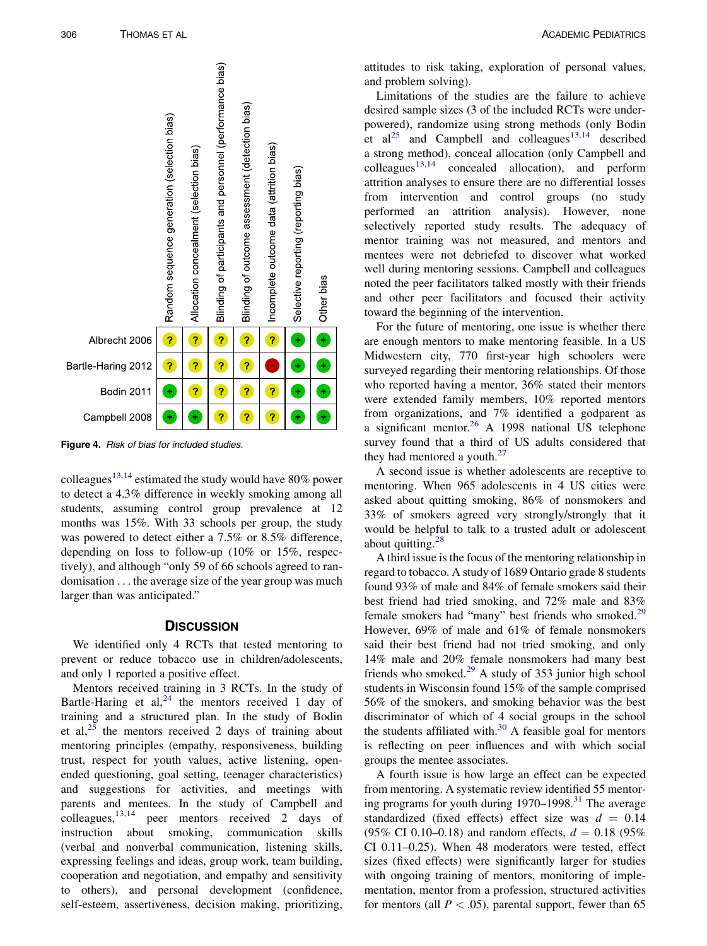<span id="page-6-0"></span>

Figure 4. Risk of bias for included studies.

colleagues<sup>[13,14](#page-7-0)</sup> estimated the study would have 80% power to detect a 4.3% difference in weekly smoking among all students, assuming control group prevalence at 12 months was 15%. With 33 schools per group, the study was powered to detect either a 7.5% or 8.5% difference, depending on loss to follow-up (10% or 15%, respectively), and although "only 59 of 66 schools agreed to randomisation . . . the average size of the year group was much larger than was anticipated."

We identified only 4 RCTs that tested mentoring to prevent or reduce tobacco use in children/adolescents, and only 1 reported a positive effect.

Mentors received training in 3 RCTs. In the study of Bartle-Haring et al, $^{24}$  $^{24}$  $^{24}$  the mentors received 1 day of training and a structured plan. In the study of Bodin et al,  $2^{\overline{5}}$  the mentors received 2 days of training about mentoring principles (empathy, responsiveness, building trust, respect for youth values, active listening, openended questioning, goal setting, teenager characteristics) and suggestions for activities, and meetings with parents and mentees. In the study of Campbell and  $\text{colleagues},^{13,14}$  $\text{colleagues},^{13,14}$  $\text{colleagues},^{13,14}$  peer mentors received 2 days of instruction about smoking, communication skills (verbal and nonverbal communication, listening skills, expressing feelings and ideas, group work, team building, cooperation and negotiation, and empathy and sensitivity to others), and personal development (confidence, self-esteem, assertiveness, decision making, prioritizing,

attitudes to risk taking, exploration of personal values, and problem solving).

Limitations of the studies are the failure to achieve desired sample sizes (3 of the included RCTs were underpowered), randomize using strong methods (only Bodin et al<sup>[25](#page-7-0)</sup> and Campbell and colleagues<sup>[13,14](#page-7-0)</sup> described a strong method), conceal allocation (only Campbell and  $\text{colleagues}^{13,14}$  $\text{colleagues}^{13,14}$  $\text{colleagues}^{13,14}$  concealed allocation), and perform attrition analyses to ensure there are no differential losses from intervention and control groups (no study performed an attrition analysis). However, none selectively reported study results. The adequacy of mentor training was not measured, and mentors and mentees were not debriefed to discover what worked well during mentoring sessions. Campbell and colleagues noted the peer facilitators talked mostly with their friends and other peer facilitators and focused their activity toward the beginning of the intervention.

For the future of mentoring, one issue is whether there are enough mentors to make mentoring feasible. In a US Midwestern city, 770 first-year high schoolers were surveyed regarding their mentoring relationships. Of those who reported having a mentor, 36% stated their mentors were extended family members, 10% reported mentors from organizations, and 7% identified a godparent as a significant mentor. $26$  A 1998 national US telephone survey found that a third of US adults considered that they had mentored a youth. $27$ 

A second issue is whether adolescents are receptive to mentoring. When 965 adolescents in 4 US cities were asked about quitting smoking, 86% of nonsmokers and 33% of smokers agreed very strongly/strongly that it would be helpful to talk to a trusted adult or adolescent about quitting. $^{28}$  $^{28}$  $^{28}$ 

A third issue is the focus of the mentoring relationship in regard to tobacco. A study of 1689 Ontario grade 8 students found 93% of male and 84% of female smokers said their best friend had tried smoking, and 72% male and 83% female smokers had "many" best friends who smoked.<sup>[29](#page-7-0)</sup> However, 69% of male and 61% of female nonsmokers said their best friend had not tried smoking, and only 14% male and 20% female nonsmokers had many best friends who smoked.<sup>[29](#page-7-0)</sup> A study of 353 junior high school students in Wisconsin found 15% of the sample comprised 56% of the smokers, and smoking behavior was the best discriminator of which of 4 social groups in the school the students affiliated with.<sup>[30](#page-7-0)</sup> A feasible goal for mentors is reflecting on peer influences and with which social groups the mentee associates.

A fourth issue is how large an effect can be expected from mentoring. A systematic review identified 55 mentoring programs for youth during  $1970-1998$ .<sup>[31](#page-7-0)</sup> The average standardized (fixed effects) effect size was  $d = 0.14$ (95% CI 0.10–0.18) and random effects,  $d = 0.18$  (95%) CI 0.11–0.25). When 48 moderators were tested, effect sizes (fixed effects) were significantly larger for studies with ongoing training of mentors, monitoring of implementation, mentor from a profession, structured activities for mentors (all  $P < .05$ ), parental support, fewer than 65